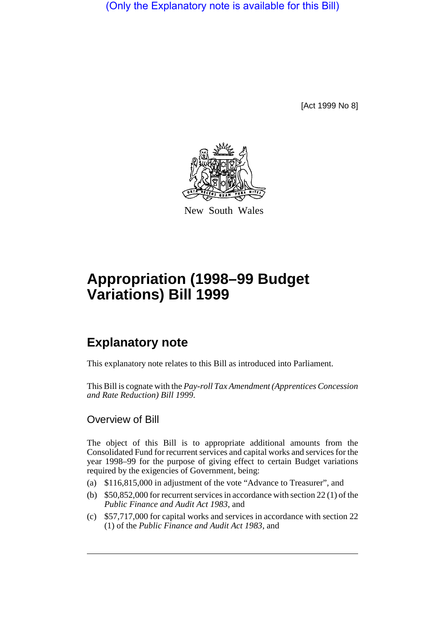(Only the Explanatory note is available for this Bill)

[Act 1999 No 8]



New South Wales

## **Appropriation (1998–99 Budget Variations) Bill 1999**

## **Explanatory note**

This explanatory note relates to this Bill as introduced into Parliament.

This Bill is cognate with the *Pay-roll Tax Amendment (Apprentices Concession and Rate Reduction) Bill 1999*.

## Overview of Bill

The object of this Bill is to appropriate additional amounts from the Consolidated Fund for recurrent services and capital works and services for the year 1998–99 for the purpose of giving effect to certain Budget variations required by the exigencies of Government, being:

- (a) \$116,815,000 in adjustment of the vote "Advance to Treasurer", and
- (b) \$50,852,000 for recurrent services in accordance with section 22 (1) of the *Public Finance and Audit Act 1983*, and
- (c) \$57,717,000 for capital works and services in accordance with section 22 (1) of the *Public Finance and Audit Act 1983*, and